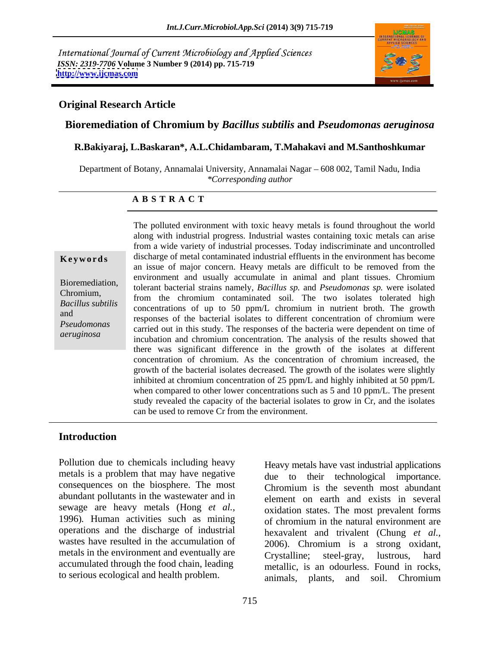International Journal of Current Microbiology and Applied Sciences *ISSN: 2319-7706* **Volume 3 Number 9 (2014) pp. 715-719 <http://www.ijcmas.com>**



## **Original Research Article**

### **Bioremediation of Chromium by** *Bacillus subtilis* **and** *Pseudomonas aeruginosa*

### **R.Bakiyaraj, L.Baskaran\*, A.L.Chidambaram, T.Mahakavi and M.Santhoshkumar**

Department of Botany, Annamalai University, Annamalai Nagar – 608 002, Tamil Nadu, India *\*Corresponding author* 

### **A B S T R A C T**

**Keywords** discharge of metal contaminated industrial effluents in the environment has become Bioremediation, tolerant bacterial strains namely, *Bacillus sp.* and *Pseudomonas sp.* were isolated  $P_{\text{res}}$  coloring to the chromium contaminated soil. The two isolates tolerated high  $P_{\text{res}}$ *Bacillus subtilis* concentrations of up to 50 ppm/L chromium in nutrient broth. The growth exponses of the bacterial isolates to different concentration of chromium were *Pseudomonas* carried out in this study. The responses of the bacteria were dependent on time of carried out in this study. The responses of the bacteria were dependent on time of *aeruginosa*<br>
incubation and chromium concentration. The analysis of the results showed that The polluted environment with toxic heavy metals is found throughout the world along with industrial progress. Industrial wastes containing toxic metals can arise from a wide variety of industrial processes. Today indiscriminate and uncontrolled an issue of major concern. Heavy metals are difficult to be removed from the environment and usually accumulate in animal and plant tissues. Chromium there was significant difference in the growth of the isolates at different concentration of chromium. As the concentration of chromium increased, the growth of the bacterial isolates decreased. The growth of the isolates were slightly inhibited at chromium concentration of 25 ppm/L and highly inhibited at 50 ppm/L when compared to other lower concentrations such as 5 and 10 ppm/L. The present study revealed the capacity of the bacterial isolates to grow in Cr, and the isolates can be used to remove Cr from the environment.

## **Introduction**

Pollution due to chemicals including heavy <br>Heavy metals have vast industrial applications metals is a problem that may have negative consequences on the biosphere. The most abundant pollutants in the wastewater and in operations and the discharge of industrial wastes have resulted in the accumulation of metals in the environment and eventually are<br>  $Crystalline$ ; steel-gray, lustrous, hard

sewage are heavy metals (Hong *et al.*, oxidation states. The most prevalent forms 1996). Human activities such as mining of chromium in the natural environment are accumulated through the food chain, leading metallic, is an odourless. Found in rocks, Pollution due to chemicals including heavy<br>
metals is a problem that may have negative<br>
consequences on the biosphere. The most<br>
chromium is the seventh most abundant<br>
abundant pollutants in the wastewater and in<br>
servage due to their technological importance. Chromium is the seventh most abundant element on earth and exists in several oxidation states. The most prevalent forms of chromium in the natural environment are hexavalent and trivalent (Chung *et al.,* 2006). Chromium is a strong oxidant, Crystalline; steel-gray, lustrous, hard animals, plants, and soil. Chromium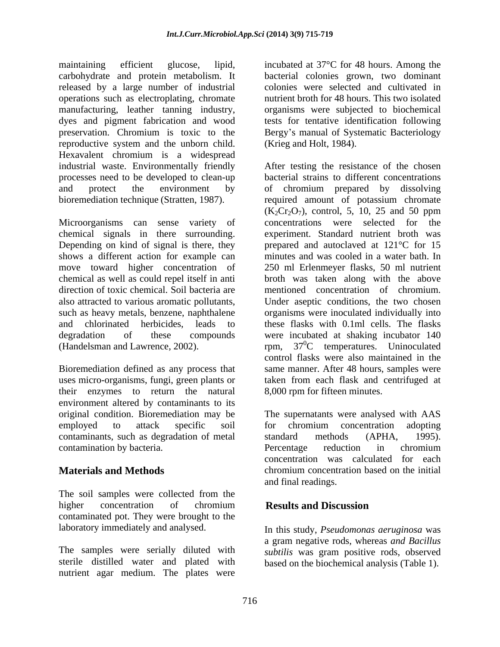maintaining efficient glucose, lipid, incubated at 37°C for 48 hours. Among the carbohydrate and protein metabolism. It bacterial colonies grown, two dominant released by a large number of industrial operations such as electroplating, chromate nutrient broth for 48 hours. This two isolated manufacturing, leather tanning industry, organisms were subjected to biochemical dyes and pigment fabrication and wood tests for tentative identification following preservation. Chromium is toxic to the Bergy s manual of Systematic Bacteriology reproductive system and the unborn child. Hexavalent chromium is a widespread industrial waste. Environmentally friendly processes need to be developed to clean-up

Microorganisms can sense variety of shows a different action for example can move toward higher concentration of

their enzymes to return the natural environment altered by contaminants to its<br>original condition. Bioremediation may be employed to attack specific soil contaminants, such as degradation of metal standard methods (APHA, 1995). contamination by bacteria.

The soil samples were collected from the higher concentration of chromium **Results and Discussion** contaminated pot. They were brought to the

The samples were serially diluted with *subtilis* was gram positive rods, observed sterile distilled water and plated with based on the biochemical analysis (Table 1). nutrient agar medium. The plates were

colonies were selected and cultivated in (Krieg and Holt, 1984).

and protect the environment by of chromium prepared by dissolving bioremediation technique (Stratten, 1987). required amount of potassium chromate chemical signals in there surrounding. experiment. Standard nutrient broth was Depending on kind of signal is there, they prepared and autoclaved at 121°C for 15 chemical as well as could repel itself in anti broth was taken along with the above direction of toxic chemical. Soil bacteria are mentioned concentration of chromium. also attracted to various aromatic pollutants, Under aseptic conditions, the two chosen such as heavy metals, benzene, naphthalene organisms were inoculated individually into and chlorinated herbicides, leads to these flaskswith 0.1ml cells. The flasks degradation of these compounds were incubated at shaking incubator 140 (Handelsman and Lawrence, 2002).  $rpm$ ,  $37^0C$  temperatures. Uninoculated Bioremediation defined as any process that same manner. After 48 hours, samples were uses micro-organisms, fungi, green plants or taken from each flask and centrifuged at After testing the resistance of the chosen bacterial strains to different concentrations  $(K_2Cr_2O_7)$ , control, 5, 10, 25 and 50 ppm concentrations were selected for the minutes and was cooled in a water bath. In 250 ml Erlenmeyer flasks, 50 ml nutrient control flasks were also maintained in the 8,000 rpm for fifteen minutes.

original condition. Bioremediation may be The supernatants were analysed with AAS **Materials and Methods** chromium concentration based on the initial for chromium concentration adopting standard methods (APHA, 1995). Percentage reduction in chromium concentration was calculated for each chromium concentration based on the initial and final readings.

# **Results and Discussion**

laboratory immediately and analysed. In this study, *Pseudomonas aeruginosa* was a gram negative rods, whereas *and Bacillus*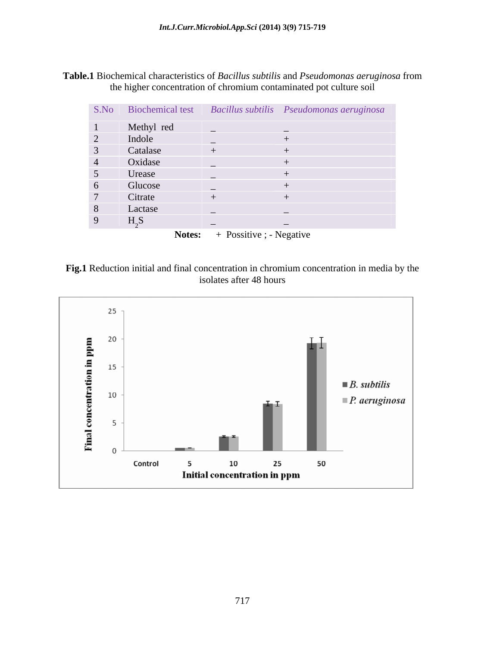**Table.1** Biochemical characteristics of *Bacillus subtilis* and *Pseudomonas aeruginosa* from the higher concentration of chromium contaminated pot culture soil

|               |               |                          | S.No Biochemical test Bacillus subtilis Pseudomonas aeruginosa |
|---------------|---------------|--------------------------|----------------------------------------------------------------|
|               | Methyl red    |                          |                                                                |
|               | Indole        |                          |                                                                |
|               | Catalase      |                          |                                                                |
|               | Oxidase       |                          |                                                                |
| $\mathcal{D}$ | Urease        |                          |                                                                |
| 6             | Glucose       |                          |                                                                |
|               | Citrate       |                          |                                                                |
| 8             | Lactase       |                          |                                                                |
|               | $H_{\alpha}S$ | $\overline{\phantom{0}}$ | $\overline{\phantom{0}}$                                       |

Notes: + Possitive ; - Negative



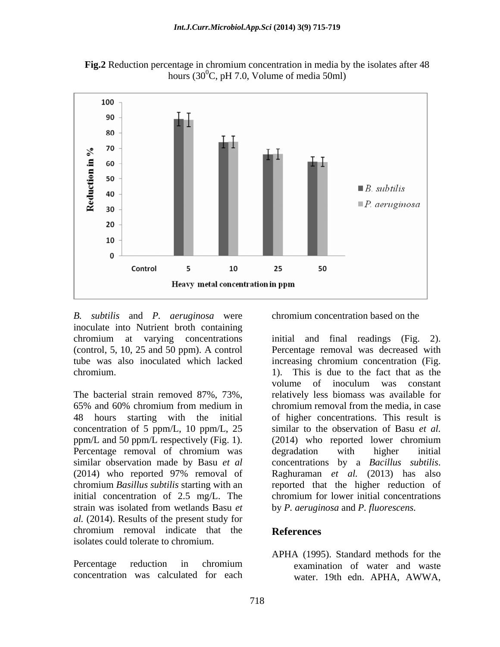

**Fig.2** Reduction percentage in chromium concentration in media by the isolates after 48 hours (30 $^{\circ}$ C, pH 7.0, Volume of media 50ml)

*B. subtilis* and *P. aeruginosa* were inoculate into Nutrient broth containing tube was also inoculated which lacked chromium. (a) a chromium. This is due to the fact that as the

48 hours starting with the initial concentration of 5 ppm/L, 10 ppm/L, 25 Percentage removal of chromium was degradation with higher initial similar observation made by Basu *et al* concentrations by a *Bacillus subtilis*. (2014) who reported 97% removal of Raghuraman et al. (2013) has also initial concentration of 2.5 mg/L. The chromium for lower initial concentrations strain was isolated from wetlands Basu *et al.* (2014). Results of the present study for chromium removal indicate that the **References** isolates could tolerate to chromium.

concentration was calculated for each

chromium concentration based on the

chromium at varying concentrations initial and final readings (Fig. 2). (control, 5, 10, 25 and 50 ppm). A control Percentage removal was decreased with The bacterial strain removed 87%, 73%, relatively less biomass was available for 65% and 60% chromium from medium in ppm/L and 50 ppm/L respectively (Fig. 1). (2014) who reported lower chromium chromium *Basillus subtilis* starting with an reported that the higher reduction of increasing chromium concentration (Fig. 1). This is due to the fact that as the volume of inoculum was constant chromium removal from the media, in case of higher concentrations. This result is similar to the observation of Basu *et al.* degradation with higher initial concentrations by a *Bacillus subtilis*.<br>Raghuraman *et al.* (2013) has also chromium for lower initial concentrations by *P. aeruginosa* and *P. fluorescens.* 

# **References**

Percentage reduction in chromium examination of water and waste APHA (1995). Standard methods for the examination of water and waste water. 19th edn. APHA, AWWA,